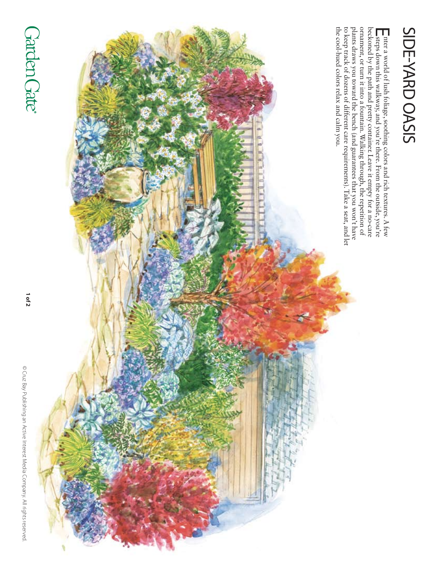© Cruz Bay Publishing an Active Interest Media Company. All rights reserved © Cruz Bay Publishing an Active Interest Media Company. All rights reserved.

 **of 2**





side-Yard oasis

SIDE-YARD OASIS

nter a world of lush foliage, soothing colors and rich textures. A few